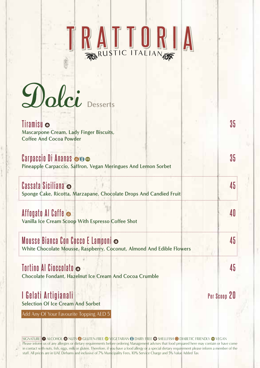# RUSTIC ITALIAN

 $D$ olci Desserts

#### **Tiramisu** o 35 **Mascarpone Cream, Lady Finger Biscuits, Coffee And Cocoa Powder**

**Carpaccio** Di Ananas **D** Pineapple Carpaccio, Saffron, Vegan Meringues And Lemon Sorbet

#### **5 4 Siciliana Cassata**

Sponge Cake, Ricotta, Marzapane, Chocolate Drops And Candied Fruit

#### **Affogato** Al Caffe  $\bullet$  **0**

Vanilla Ice Cream Scoop With Espresso Coffee Shot

### **5 Anders Bianca Con Cocco E Lamponi**  $\bullet$

**White Chocolate Mousse, Raspberry, Coconut, Almond And Edible Flowers** 

#### **5 4 Cioccolato Al Tortino**

**Chocolate Fondant, Hazelnut Ice Cream And Cocoa Crumble** 

## **1 Gelati Artigianali Gelati II di persona 20 de la persona 20 de la persona 20 de la persona 20 de la persona 20**

**Selection Of Ice Cream And Sorbet** 

Add Any Of Your Favourite Topping AED 5

SIGNATURE O ALCOHOL @ NUTS @ GLUTEN-FREE @ VEGETARIAN @ DAIRY FREE @ SHELLFISH @ DIABETIC FRIENDLY @ VEGAN Please inform us of any allergies or dietary requirements before ordering Management advises that food prepared here may contain or have come in contact with nuts, fish, eggs, milk or gluten. Therefore, if you have a food allergy or a special dietary requirement please inform a member of the staff. All prices are in UAE Dirhams and inclusive of 7% Municipality Fees, 10% Service Charge and 5% Value Added Tax